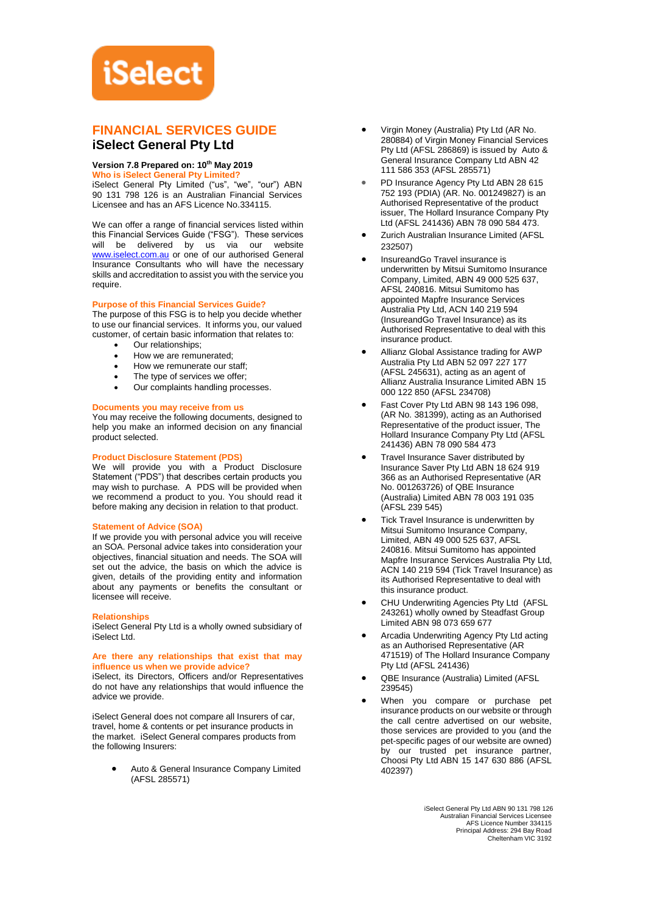# **iSelect**

# **FINANCIAL SERVICES GUIDE iSelect General Pty Ltd**

# **Version 7.8 Prepared on: 10th May 2019**

**Who is iSelect General Pty Limited?**

iSelect General Pty Limited ("us", "we", "our") ABN 90 131 798 126 is an Australian Financial Services Licensee and has an AFS Licence No.334115.

We can offer a range of financial services listed within this Financial Services Guide ("FSG"). These services will be delivered by us via our website [www.iselect.com.au](http://www.iselect.com.au/) or one of our authorised General Insurance Consultants who will have the necessary skills and accreditation to assist you with the service you require.

# **Purpose of this Financial Services Guide?**

The purpose of this FSG is to help you decide whether to use our financial services. It informs you, our valued customer, of certain basic information that relates to:

- Our relationships:
- How we are remunerated;
- How we remunerate our staff:
- The type of services we offer;
- Our complaints handling processes.

# **Documents you may receive from us**

You may receive the following documents, designed to help you make an informed decision on any financial product selected.

# **Product Disclosure Statement (PDS)**

We will provide you with a Product Disclosure Statement ("PDS") that describes certain products you may wish to purchase. A PDS will be provided when we recommend a product to you. You should read it before making any decision in relation to that product.

#### **Statement of Advice (SOA)**

If we provide you with personal advice you will receive an SOA. Personal advice takes into consideration your objectives, financial situation and needs. The SOA will set out the advice, the basis on which the advice is given, details of the providing entity and information about any payments or benefits the consultant or licensee will receive.

#### **Relationships**

iSelect General Pty Ltd is a wholly owned subsidiary of iSelect Ltd.

## **Are there any relationships that exist that may influence us when we provide advice?**

iSelect, its Directors, Officers and/or Representatives do not have any relationships that would influence the advice we provide.

iSelect General does not compare all Insurers of car, travel, home & contents or pet insurance products in the market. iSelect General compares products from the following Insurers:

> • Auto & General Insurance Company Limited (AFSL 285571)

- Virgin Money (Australia) Pty Ltd (AR No. 280884) of Virgin Money Financial Services Pty Ltd (AFSL 286869) is issued by Auto & General Insurance Company Ltd ABN 42 111 586 353 (AFSL 285571)
- PD Insurance Agency Pty Ltd ABN 28 615 752 193 (PDIA) (AR. No. 001249827) is an Authorised Representative of the product issuer, The Hollard Insurance Company Pty Ltd (AFSL 241436) ABN 78 090 584 473.
- Zurich Australian Insurance Limited (AFSL 232507)
- InsureandGo Travel insurance is underwritten by Mitsui Sumitomo Insurance Company, Limited, ABN 49 000 525 637, AFSL 240816. Mitsui Sumitomo has appointed Mapfre Insurance Services Australia Pty Ltd, ACN 140 219 594 (InsureandGo Travel Insurance) as its Authorised Representative to deal with this insurance product.
- Allianz Global Assistance trading for AWP Australia Pty Ltd ABN 52 097 227 177 (AFSL 245631), acting as an agent of Allianz Australia Insurance Limited ABN 15 000 122 850 (AFSL 234708)
- Fast Cover Pty Ltd ABN 98 143 196 098, (AR No. 381399), acting as an Authorised Representative of the product issuer, The Hollard Insurance Company Pty Ltd (AFSL 241436) ABN 78 090 584 473
- Travel Insurance Saver distributed by Insurance Saver Pty Ltd ABN 18 624 919 366 as an Authorised Representative (AR No. 001263726) of QBE Insurance (Australia) Limited ABN 78 003 191 035 (AFSL 239 545)
- Tick Travel Insurance is underwritten by Mitsui Sumitomo Insurance Company, Limited, ABN 49 000 525 637, AFSL 240816. Mitsui Sumitomo has appointed Mapfre Insurance Services Australia Pty Ltd, ACN 140 219 594 (Tick Travel Insurance) as its Authorised Representative to deal with this insurance product.
- CHU Underwriting Agencies Pty Ltd (AFSL 243261) wholly owned by Steadfast Group Limited ABN 98 073 659 677
- Arcadia Underwriting Agency Pty Ltd acting as an Authorised Representative (AR 471519) of The Hollard Insurance Company Pty Ltd (AFSL 241436)
- QBE Insurance (Australia) Limited (AFSL 239545)
- When you compare or purchase pet insurance products on our website or through the call centre advertised on our website, those services are provided to you (and the pet-specific pages of our website are owned) by our trusted pet insurance partner, Choosi Pty Ltd ABN 15 147 630 886 (AFSL 402397)

iSelect General Pty Ltd ABN 90 131 798 126 Australian Financial Services Licensee AFS Licence Number 334115 Principal Address: 294 Bay Road Cheltenham VIC 3192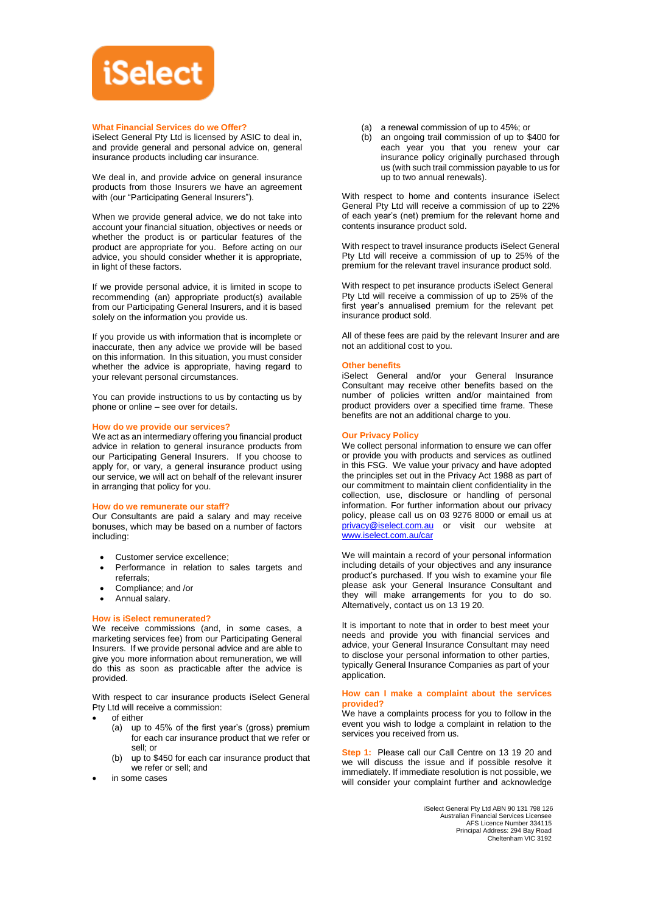

## **What Financial Services do we Offer?**

iSelect General Pty Ltd is licensed by ASIC to deal in, and provide general and personal advice on, general insurance products including car insurance.

We deal in, and provide advice on general insurance products from those Insurers we have an agreement with (our "Participating General Insurers").

When we provide general advice, we do not take into account your financial situation, objectives or needs or whether the product is or particular features of the product are appropriate for you. Before acting on our advice, you should consider whether it is appropriate, in light of these factors.

If we provide personal advice, it is limited in scope to recommending (an) appropriate product(s) available from our Participating General Insurers, and it is based solely on the information you provide us.

If you provide us with information that is incomplete or inaccurate, then any advice we provide will be based on this information. In this situation, you must consider whether the advice is appropriate, having regard to your relevant personal circumstances.

You can provide instructions to us by contacting us by phone or online – see over for details.

#### **How do we provide our services?**

We act as an intermediary offering you financial product advice in relation to general insurance products from our Participating General Insurers. If you choose to apply for, or vary, a general insurance product using our service, we will act on behalf of the relevant insurer in arranging that policy for you.

#### **How do we remunerate our staff?**

Our Consultants are paid a salary and may receive bonuses, which may be based on a number of factors including:

- Customer service excellence;
- Performance in relation to sales targets and referrals;
- Compliance; and /or
- Annual salary.

#### **How is iSelect remunerated?**

We receive commissions (and, in some cases, a marketing services fee) from our Participating General Insurers. If we provide personal advice and are able to give you more information about remuneration, we will do this as soon as practicable after the advice is provided.

With respect to car insurance products iSelect General Pty Ltd will receive a commission:

- of either
	- (a) up to 45% of the first year's (gross) premium for each car insurance product that we refer or sell; or
	- (b) up to \$450 for each car insurance product that we refer or sell; and
- in some cases
- (a) a renewal commission of up to 45%; or
- (b) an ongoing trail commission of up to \$400 for each year you that you renew your car insurance policy originally purchased through us (with such trail commission payable to us for up to two annual renewals).

With respect to home and contents insurance iSelect General Pty Ltd will receive a commission of up to 22% of each year's (net) premium for the relevant home and contents insurance product sold.

With respect to travel insurance products iSelect General Pty Ltd will receive a commission of up to 25% of the premium for the relevant travel insurance product sold.

With respect to pet insurance products iSelect General Pty Ltd will receive a commission of up to 25% of the first year's annualised premium for the relevant pet insurance product sold.

All of these fees are paid by the relevant Insurer and are not an additional cost to you.

#### **Other benefits**

iSelect General and/or your General Insurance Consultant may receive other benefits based on the number of policies written and/or maintained from product providers over a specified time frame. These benefits are not an additional charge to you.

#### **Our Privacy Policy**

We collect personal information to ensure we can offer or provide you with products and services as outlined in this FSG. We value your privacy and have adopted the principles set out in the Privacy Act 1988 as part of our commitment to maintain client confidentiality in the collection, use, disclosure or handling of personal information. For further information about our privacy policy, please call us on 03 9276 8000 or email us at [privacy@iselect.com.au](mailto:privacy@iselect.com.au) or visit our website at [www.iselect.com.au/car](http://www.iselect.com.au/car)

We will maintain a record of your personal information including details of your objectives and any insurance product's purchased. If you wish to examine your file please ask your General Insurance Consultant and they will make arrangements for you to do so. Alternatively, contact us on 13 19 20.

It is important to note that in order to best meet your needs and provide you with financial services and advice, your General Insurance Consultant may need to disclose your personal information to other parties, typically General Insurance Companies as part of your application.

#### **How can I make a complaint about the services provided?**

We have a complaints process for you to follow in the event you wish to lodge a complaint in relation to the services you received from us.

**Step 1:** Please call our Call Centre on 13 19 20 and we will discuss the issue and if possible resolve it immediately. If immediate resolution is not possible, we will consider your complaint further and acknowledge

> iSelect General Pty Ltd ABN 90 131 798 126 Australian Financial Services Licensee AFS Licence Number 334115 Principal Address: 294 Bay Road Cheltenham VIC 3192